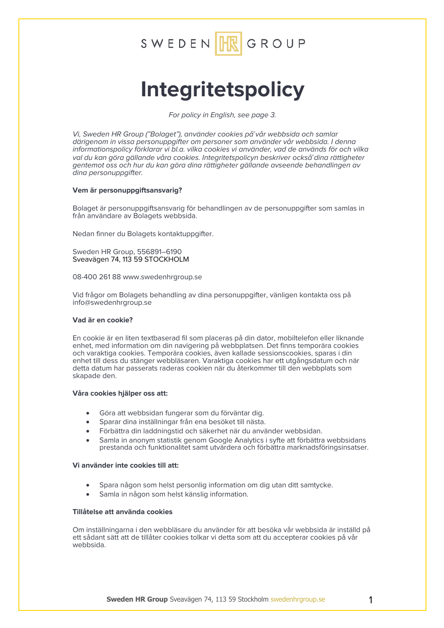

# **Integritetspolicy**

*For policy in English, see page 3.*

*Vi, Sweden HR Group ("Bolaget"), använder cookies på̊vår webbsida och samlar därigenom in vissa personuppgifter om personer som använder vår webbsida. I denna informationspolicy förklarar vi bl.a. vilka cookies vi använder, vad de används för och vilka val du kan göra gällande våra cookies. Integritetspolicyn beskriver också̊dina rättigheter gentemot oss och hur du kan göra dina rättigheter gällande avseende behandlingen av dina personuppgifter.* 

## **Vem är personuppgiftsansvarig?**

Bolaget är personuppgiftsansvarig för behandlingen av de personuppgifter som samlas in från användare av Bolagets webbsida.

Nedan finner du Bolagets kontaktuppgifter.

Sweden HR Group, 556891–6190 Sveavägen 74, 113 59 STOCKHOLM

08-400 261 88 www.swedenhrgroup.se

Vid frågor om Bolagets behandling av dina personuppgifter, vänligen kontakta oss på info@swedenhrgroup.se

## **Vad är en cookie?**

En cookie är en liten textbaserad fil som placeras på din dator, mobiltelefon eller liknande enhet, med information om din navigering på webbplatsen. Det finns temporära cookies och varaktiga cookies. Temporära cookies, även kallade sessionscookies, sparas i din enhet till dess du stänger webbläsaren. Varaktiga cookies har ett utgångsdatum och när detta datum har passerats raderas cookien när du återkommer till den webbplats som skapade den.

### **Våra cookies hjälper oss att:**

- Göra att webbsidan fungerar som du förväntar dig.
- Sparar dina inställningar från ena besöket till nästa.
- Förbättra din laddningstid och säkerhet när du använder webbsidan.
- Samla in anonym statistik genom Google Analytics i syfte att förbättra webbsidans prestanda och funktionalitet samt utvärdera och förbättra marknadsföringsinsatser.

## **Vi använder inte cookies till att:**

- Spara någon som helst personlig information om dig utan ditt samtycke.
- Samla in någon som helst känslig information.

## **Tillåtelse att använda cookies**

Om inställningarna i den webbläsare du använder för att besöka vår webbsida är inställd på ett sådant sätt att de tillåter cookies tolkar vi detta som att du accepterar cookies på vår webbsida.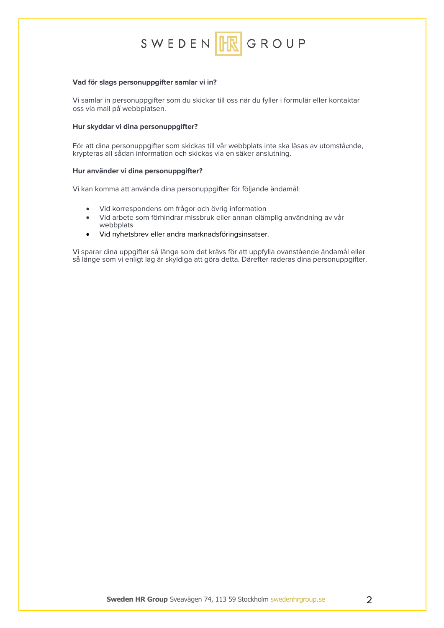

### **Vad för slags personuppgifter samlar vi in?**

Vi samlar in personuppgifter som du skickar till oss när du fyller i formulär eller kontaktar oss via mail på̊webbplatsen.

## **Hur skyddar vi dina personuppgifter?**

För att dina personuppgifter som skickas till vår webbplats inte ska läsas av utomstå<sup>e</sup>nde, krypteras all sådan information och skickas via en säker anslutning.

### **Hur använder vi dina personuppgifter?**

Vi kan komma att använda dina personuppgifter för följande ändamål:

- Vid korrespondens om frågor och övrig information
- Vid arbete som förhindrar missbruk eller annan olämplig användning av vår webbplats
- Vid nyhetsbrev eller andra marknadsföringsinsatser.

Vi sparar dina uppgifter så länge som det krävs för att uppfylla ovanstående ändamål eller så länge som vi enligt lag är skyldiga att göra detta. Därefter raderas dina personuppgifter.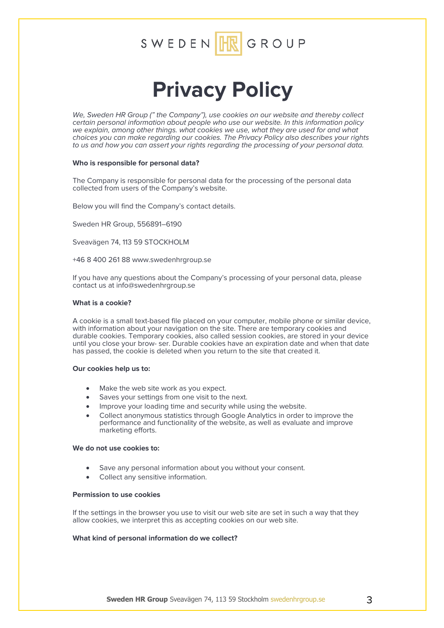

## **Privacy Policy**

*We, Sweden HR Group (" the Company"), use cookies on our website and thereby collect certain personal information about people who use our website. In this information policy we explain, among other things. what cookies we use, what they are used for and what choices you can make regarding our cookies. The Privacy Policy also describes your rights to us and how you can assert your rights regarding the processing of your personal data.* 

### **Who is responsible for personal data?**

The Company is responsible for personal data for the processing of the personal data collected from users of the Company's website.

Below you will find the Company's contact details.

Sweden HR Group, 556891–6190

Sveavägen 74, 113 59 STOCKHOLM

+46 8 400 261 88 www.swedenhrgroup.se

If you have any questions about the Company's processing of your personal data, please contact us at info@swedenhrgroup.se

### **What is a cookie?**

A cookie is a small text-based file placed on your computer, mobile phone or similar device, with information about your navigation on the site. There are temporary cookies and durable cookies. Temporary cookies, also called session cookies, are stored in your device until you close your brow- ser. Durable cookies have an expiration date and when that date has passed, the cookie is deleted when you return to the site that created it.

### **Our cookies help us to:**

- Make the web site work as you expect.
- Saves your settings from one visit to the next.
- Improve your loading time and security while using the website.
- Collect anonymous statistics through Google Analytics in order to improve the performance and functionality of the website, as well as evaluate and improve marketing efforts.

### **We do not use cookies to:**

- Save any personal information about you without your consent.
- Collect any sensitive information.

## **Permission to use cookies**

If the settings in the browser you use to visit our web site are set in such a way that they allow cookies, we interpret this as accepting cookies on our web site.

## **What kind of personal information do we collect?**